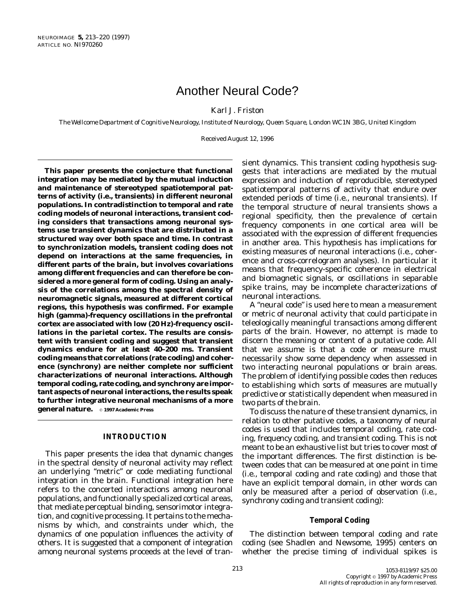# Another Neural Code?

# Karl J. Friston

*The Wellcome Department of Cognitive Neurology, Institute of Neurology, Queen Square, London WC1N 3BG, United Kingdom*

Received August 12, 1996

**This paper presents the conjecture that functional integration may be mediated by the mutual induction and maintenance of stereotyped spatiotemporal patterns of activity (i.e., transients) in different neuronal populations. In contradistinction to temporal and rate coding models of neuronal interactions, transient coding considers that transactions among neuronal systems use transient dynamics that are distributed in a structured way over both space and time. In contrast to synchronization models, transient coding does not depend on interactions at the same frequencies, in different parts of the brain, but involves covariations among** *different* **frequencies and can therefore be considered a more general form of coding. Using an analysis of the correlations among the spectral density of neuromagnetic signals, measured at different cortical regions, this hypothesis was confirmed. For example high (gamma)-frequency oscillations in the prefrontal cortex are associated with low (20 Hz)-frequency oscillations in the parietal cortex. The results are consistent with transient coding and suggest that transient dynamics endure for at least 40–200 ms. Transient coding means that correlations (rate coding) and coherence (synchrony) are neither complete nor sufficient characterizations of neuronal interactions. Although temporal coding, rate coding, and synchrony are important aspects of neuronal interactions, the results speak to further integrative neuronal mechanisms of a more general nature. 01997 Academic Press** 

# **INTRODUCTION**

This paper presents the idea that dynamic changes in the spectral density of neuronal activity may reflect an underlying ''metric'' or code mediating functional integration in the brain. Functional integration here refers to the concerted interactions among neuronal populations, and functionally specialized cortical areas, that mediate perceptual binding, sensorimotor integration, and cognitive processing. It pertains to the mechanisms by which, and constraints under which, the dynamics of one population influences the activity of others. It is suggested that a component of integration among neuronal systems proceeds at the level of transient dynamics. This transient coding hypothesis suggests that interactions are mediated by the mutual expression and induction of reproducible, stereotyped spatiotemporal patterns of activity that endure over extended periods of time (i.e., neuronal transients). If the temporal structure of neural transients shows a regional specificity, then the prevalence of certain frequency components in one cortical area will be associated with the expression of different frequencies in another area. This hypothesis has implications for existing measures of neuronal interactions (i.e., coherence and cross-correlogram analyses). In particular it means that frequency-specific coherence in electrical and biomagnetic signals, or oscillations in separable spike trains, may be incomplete characterizations of neuronal interactions.

A ''neural code'' is used here to mean a measurement or metric of neuronal activity that could participate in teleologically meaningful transactions among different parts of the brain. However, no attempt is made to discern the meaning or content of a putative code. All that we assume is that a code or measure must necessarily show some dependency when assessed in two interacting neuronal populations or brain areas. The problem of identifying possible codes then reduces to establishing which sorts of measures are mutually predictive or statistically dependent when measured in two parts of the brain.

To discuss the nature of these transient dynamics, in relation to other putative codes, a taxonomy of neural codes is used that includes *temporal coding, rate coding, frequency coding,* and *transient coding.* This is not meant to be an exhaustive list but tries to cover most of the important differences. The first distinction is between codes that can be measured at one point in time (i.e., temporal coding and rate coding) and those that have an explicit temporal domain, in other words can only be measured after a period of observation (i.e., synchrony coding and transient coding):

# **Temporal Coding**

The distinction between temporal coding and rate coding (see Shadlen and Newsome, 1995) centers on whether the precise timing of individual spikes is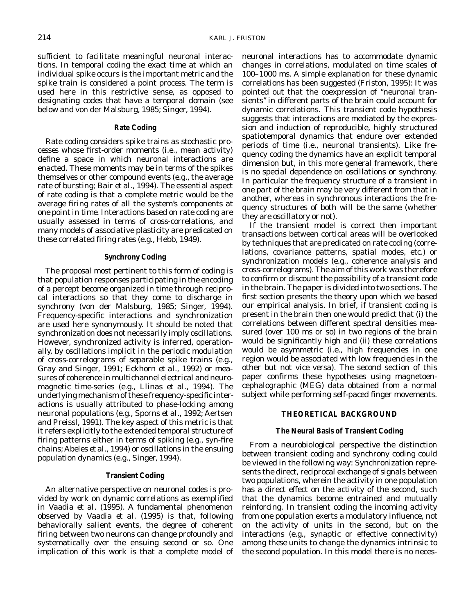sufficient to facilitate meaningful neuronal interactions. In temporal coding the exact time at which an individual spike occurs is the important metric and the spike train is considered a *point process.* The term is used here in this restrictive sense, as opposed to designating codes that have a temporal domain (see below and von der Malsburg, 1985; Singer, 1994).

## **Rate Coding**

Rate coding considers spike trains as *stochastic processes* whose first-order moments (i.e., mean activity) define a space in which neuronal interactions are enacted. These moments may be in terms of the spikes themselves or other compound events (e.g., the average rate of bursting; Bair *et al.,* 1994). The essential aspect of rate coding is that a complete metric would be the average firing rates of all the system's components *at one point in time.* Interactions based on rate coding are usually assessed in terms of cross-correlations, and many models of associative plasticity are predicated on these correlated firing rates (e.g., Hebb, 1949).

### **Synchrony Coding**

The proposal most pertinent to this form of coding is that population responses participating in the encoding of a percept become organized in time through reciprocal interactions so that they come to discharge in synchrony (von der Malsburg, 1985; Singer, 1994). Frequency-specific interactions and synchronization are used here synonymously. It should be noted that synchronization does not necessarily imply oscillations. However, synchronized activity is inferred, operationally, by oscillations implicit in the periodic modulation of cross-correlograms of separable spike trains (e.g., Gray and Singer, 1991; Eckhorn *et al.,* 1992) or measures of coherence in multichannel electrical and neuromagnetic time-series (e.g., Llinas *et al.,* 1994). The underlying mechanism of these frequency-specific interactions is usually attributed to phase-locking among neuronal populations (e.g., Sporns *et al.,* 1992; Aertsen and Preissl, 1991). The key aspect of this metric is that it refers explicitly to the extended temporal structure of firing patterns either in terms of spiking (e.g., syn-fire chains; Abeles *et al.,* 1994) or oscillations in the ensuing population dynamics (e.g., Singer, 1994).

#### **Transient Coding**

An alternative perspective on neuronal codes is provided by work on *dynamic correlations* as exemplified in Vaadia *et al.* (1995). A fundamental phenomenon observed by Vaadia *et al.* (1995) is that, following behaviorally salient events, the degree of coherent firing between two neurons can change profoundly and systematically over the ensuing second or so. One implication of this work is that a complete model of neuronal interactions has to accommodate dynamic changes in correlations, modulated on time scales of 100–1000 ms. A simple explanation for these dynamic correlations has been suggested (Friston, 1995): It was pointed out that the coexpression of ''neuronal transients'' in different parts of the brain could account for dynamic correlations. This *transient code* hypothesis suggests that interactions are mediated by the expression and induction of reproducible, highly structured spatiotemporal dynamics that endure over extended periods of time (i.e., neuronal transients). Like frequency coding the dynamics have an explicit temporal dimension but, in this more general framework, there is no special dependence on oscillations or synchrony. In particular the frequency structure of a transient in one part of the brain may be very different from that in another, whereas in synchronous interactions the frequency structures of both will be the same (whether they are oscillatory or not).

If the transient model is correct then important transactions between cortical areas will be overlooked by techniques that are predicated on rate coding (correlations, covariance patterns, spatial modes, etc.) or synchronization models (e.g., coherence analysis and cross-correlograms). The aim of this work was therefore to confirm or discount the possibility of a transient code in the brain. The paper is divided into two sections. The first section presents the theory upon which we based our empirical analysis. In brief, if transient coding is present in the brain then one would predict that (i) the correlations between different spectral densities measured (over 100 ms or so) in two regions of the brain would be significantly high and (ii) these correlations would be asymmetric (i.e., high frequencies in one region would be associated with low frequencies in the other but not *vice versa*). The second section of this paper confirms these hypotheses using magnetoencephalographic (MEG) data obtained from a normal subject while performing self-paced finger movements.

# **THEORETICAL BACKGROUND**

## **The Neural Basis of Transient Coding**

From a neurobiological perspective the distinction between transient coding and synchrony coding could be viewed in the following way: Synchronization represents the direct, reciprocal exchange of signals between two populations, wherein the activity in one population has a direct effect on the activity of the second, such that the dynamics become entrained and mutually reinforcing. In transient coding the incoming activity from one population exerts a modulatory influence, *not on the activity of units in the second, but on the interactions* (e.g., synaptic or effective connectivity) *among these units* to change the dynamics intrinsic to the second population. In this model there is no neces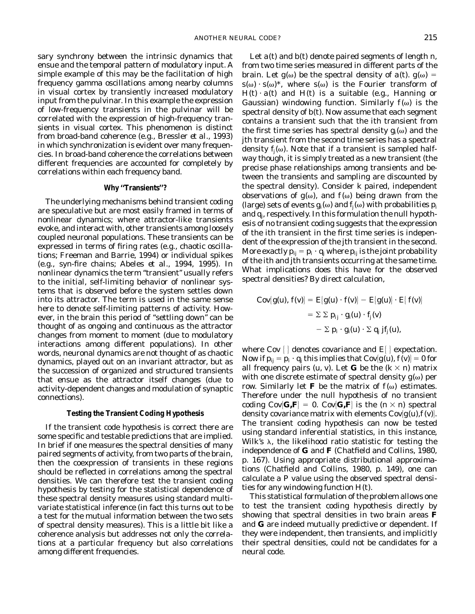sary synchrony between the intrinsic dynamics that ensue and the temporal pattern of modulatory input. A simple example of this may be the facilitation of high frequency gamma oscillations among nearby columns in visual cortex by transiently increased modulatory input from the pulvinar. In this example the expression of low-frequency transients in the pulvinar will be correlated with the expression of high-frequency transients in visual cortex. This phenomenon is distinct from broad-band coherence (e.g., Bressler *et al.,* 1993) in which synchronization is evident over many frequencies. In broad-band coherence the correlations between different frequencies are accounted for completely by correlations within each frequency band.

## **Why ''Transients''?**

The underlying mechanisms behind transient coding are speculative but are most easily framed in terms of nonlinear dynamics; where attractor-like transients evoke, and interact with, other transients among loosely coupled neuronal populations. These transients can be expressed in terms of firing rates (e.g., chaotic oscillations; Freeman and Barrie, 1994) or individual spikes (e.g., syn-fire chains; Abeles *et al.,* 1994, 1995). In nonlinear dynamics the term "transient" usually refers to the initial, self-limiting behavior of nonlinear systems that is observed before the system settles down into its attractor. The term is used in the same sense here to denote self-limiting patterns of activity. However, in the brain this period of ''settling down'' can be thought of as ongoing and continuous as the attractor changes from moment to moment (due to modulatory interactions among different populations). In other words, neuronal dynamics are not thought of as chaotic dynamics, played out on an invariant attractor, but as the succession of organized and structured transients that ensue as the attractor itself changes (due to activity-dependent changes and modulation of synaptic connections).

#### **Testing the Transient Coding Hypothesis**

If the transient code hypothesis is correct there are some specific and testable predictions that are implied. In brief if one measures the spectral densities of many paired segments of activity, from two parts of the brain, then the coexpression of transients in these regions should be reflected in correlations among the spectral densities. We can therefore test the transient coding hypothesis by testing for the statistical dependence of these spectral density measures using standard multivariate statistical inference (in fact this turns out to be a test for the mutual information between the two sets of spectral density measures). This is a little bit like a coherence analysis but addresses not only the correlations at a particular frequency but also correlations among different frequencies.

Let *a*(*t*) and *b*(*t*) denote paired segments of length *n*, from two time series measured in different parts of the brain. Let  $g(\omega)$  be the spectral density of  $a(t)$ .  $g(\omega)$  =  $s(\omega) \cdot s(\omega)^*$ , where  $s(\omega)$  is the Fourier transform of  $H(t) \cdot a(t)$  and  $H(t)$  is a suitable (e.g., Hanning or Gaussian) windowing function. Similarly  $f(\omega)$  is the spectral density of *b*(*t*). Now assume that each segment contains a transient such that the *i*th transient from the first time series has spectral density  $g_i(\omega)$  and the *j*th transient from the second time series has a spectral density  $f_i(\omega)$ . Note that if a transient is sampled halfway though, it is simply treated as a new transient (the precise phase relationships among transients and between the transients and sampling are discounted by the spectral density). Consider *k* paired, independent observations of  $g(\omega)$ , and  $f(\omega)$  being drawn from the (large) sets of events  $g_i(\omega)$  and  $f_i(\omega)$  with probabilities  $p_i$ and *qj*, respectively. In this formulation the null hypothesis of no transient coding suggests that the expression of the *i*th transient in the first time series is independent of the expression of the *j*th transient in the second. More exactly  $p_{ij} = p_i \cdot q_j$  where  $p_{ij}$  is the joint probability of the *i*th and *j*th transients occurring at the same time. What implications does this have for the observed spectral densities? By direct calculation,

$$
\begin{aligned} \text{Cov}[g(u), f(v)] &= E[g(u) \cdot f(v)] - E[g(u)] \cdot E[f(v)] \\ &= \Sigma \Sigma \, p_{ij} \cdot g_i(u) \cdot f_j(v) \\ &- \Sigma \, p_i \cdot g_i(u) \cdot \Sigma \, q_j \, j f_j(u), \end{aligned}
$$

where Cov  $\{\}$  denotes covariance and  $E\$  expectation. Now if  $p_{ii} = p_i \cdot q_i$  this implies that  $Cov[g(u), f(v)] = 0$  for all frequency pairs  $(u, v)$ . Let **G** be the  $(k \times n)$  matrix with one discrete estimate of spectral density  $g(\omega)$  per row. Similarly let **F** be the matrix of  $f(\omega)$  estimates. Therefore under the null hypothesis of no transient coding  $Cov[\mathbf{G}, \mathbf{F}] = 0$ .  $Cov[\mathbf{G}, \mathbf{F}]$  is the  $(n \times n)$  spectral density covariance matrix with elements  $Cov[g(u), f(v)].$ The transient coding hypothesis can now be tested using standard inferential statistics, in this instance, Wilk's  $\lambda$ , the likelihood ratio statistic for testing the independence of **G** and **F** (Chatfield and Collins, 1980, p. 167). Using appropriate distributional approximations (Chatfield and Collins, 1980, p. 149), one can calculate a *P* value using the observed spectral densities for any windowing function *H*(*t*).

This statistical formulation of the problem allows one to test the transient coding hypothesis directly by showing that spectral densities in two brain areas **F** and **G** are indeed mutually predictive or dependent. If they were independent, then transients, and implicitly their spectral densities, could not be candidates for a neural code.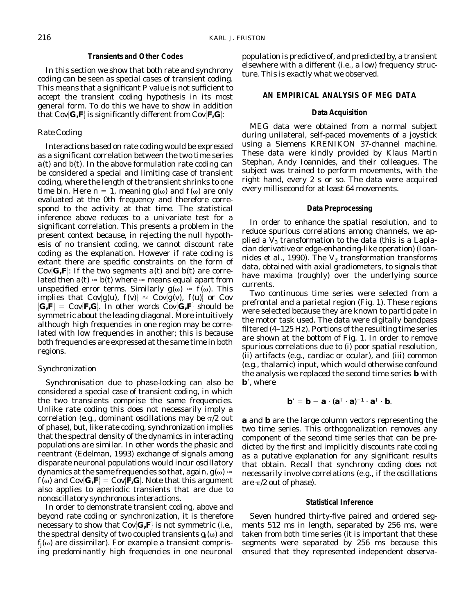## **Transients and Other Codes**

In this section we show that both rate and synchrony coding can be seen as special cases of transient coding. This means that a significant *P* value is not sufficient to accept the transient coding hypothesis in its most general form. To do this we have to show in addition that  $Cov[G, \mathbf{F}]$  is significantly different from  $Cov[\mathbf{F}, \mathbf{G}]$ :

# *Rate Coding*

Interactions based on rate coding would be expressed as a significant correlation between the two time series  $a(t)$  and  $b(t)$ . In the above formulation rate coding can be considered a special and limiting case of transient coding, where the length of the transient shrinks to one time bin. Here  $n = 1$ , meaning  $g(\omega)$  and  $f(\omega)$  are only evaluated at the 0th frequency and therefore correspond to the activity at that time. The statistical inference above reduces to a univariate test for a significant correlation. This presents a problem in the present context because, in rejecting the null hypothesis of no transient coding, we cannot discount rate coding as the explanation. However if rate coding is extant there are specific constraints on the form of Cov $\left| \mathbf{G}, \mathbf{F} \right|$ : If the two segments *a*(*t*) and *b*(*t*) are correlated then  $a(t) \approx b(t)$  where  $\approx$  means equal apart from unspecified error terms. Similarly  $g(\omega) \approx f(\omega)$ . This implies that  $Cov[g(u), f(v)] \approx Cov[g(v), f(u)]$  or Cov  $\{G, F\}$  = Cov $\{F, G\}$ . In other words Cov $\{G, F\}$  should be symmetric about the leading diagonal. More intuitively although high frequencies in one region may be correlated with low frequencies in another; this is because *both* frequencies are expressed at the same time in both regions.

# *Synchronization*

Synchronisation due to phase-locking can also be considered a special case of transient coding, in which the two transients comprise the same frequencies. Unlike rate coding this does not necessarily imply a correlation (e.g., dominant oscillations may be  $\pi/2$  out of phase), but, like rate coding, synchronization implies that the spectral density of the dynamics in interacting populations are similar. In other words the phasic and reentrant (Edelman, 1993) exchange of signals among disparate neuronal populations would incur oscillatory dynamics at the same frequencies so that, again,  $g(\omega) \approx$  $f(\omega)$  and  $Cov[G, \mathbf{F}] = Cov[\mathbf{F}, \mathbf{G}]$ . Note that this argument also applies to aperiodic transients that are due to nonoscillatory synchronous interactions.

In order to demonstrate transient coding, above and beyond rate coding or synchronization, it is therefore necessary to show that  $Cov[G, \mathbf{F}]$  is not symmetric (i.e., the spectral density of two coupled transients  $g_i(\omega)$  and  $f_i(\omega)$  are dissimilar). For example a transient comprising predominantly high frequencies in one neuronal

population is predictive of, and predicted by, a transient elsewhere with a different (i.e., a low) frequency structure. This is exactly what we observed.

## **AN EMPIRICAL ANALYSIS OF MEG DATA**

## **Data Acquisition**

MEG data were obtained from a normal subject during unilateral, self-paced movements of a joystick using a Siemens KRENIKON 37-channel machine. These data were kindly provided by Klaus Martin Stephan, Andy Ioannides, and their colleagues. The subject was trained to perform movements, with the right hand, every 2 s or so. The data were acquired every millisecond for at least 64 movements.

## **Data Preprocessing**

In order to enhance the spatial resolution, and to reduce spurious correlations among channels, we applied a  $V_3$  transformation to the data (this is a Laplacian derivative or edge-enhancing-like operation) (Ioannides *et al.*, 1990). The  $V_3$  transformation transforms data, obtained with axial gradiometers, to signals that have maxima (roughly) over the underlying source currents.

Two continuous time series were selected from a prefrontal and a parietal region (Fig. 1). These regions were selected because they are known to participate in the motor task used. The data were digitally bandpass filtered (4–125 Hz). Portions of the resulting time series are shown at the bottom of Fig. 1. In order to remove spurious correlations due to (i) poor spatial resolution, (ii) artifacts (e.g., cardiac or ocular), and (iii) common (e.g., thalamic) input, which would otherwise confound the analysis we replaced the second time series **b** with **b**', where

$$
\mathbf{b}' = \mathbf{b} - \mathbf{a} \cdot (\mathbf{a}^{\mathrm{T}} \cdot \mathbf{a})^{-1} \cdot \mathbf{a}^{\mathrm{T}} \cdot \mathbf{b}.
$$

**a** and **b** are the large column vectors representing the two time series. This orthogonalization removes any component of the second time series that can be predicted by the first and implicitly discounts rate coding as a putative explanation for any significant results that obtain. Recall that synchrony coding does not necessarily involve correlations (e.g., if the oscillations are  $\pi/2$  out of phase).

#### **Statistical Inference**

Seven hundred thirty-five paired and ordered segments 512 ms in length, separated by 256 ms, were taken from both time series (it is important that these segments were separated by 256 ms because this ensured that they represented independent observa-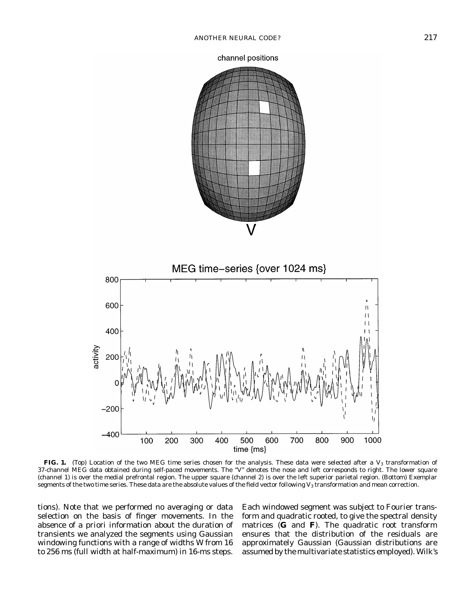



FIG. 1. (Top) Location of the two MEG time series chosen for the analysis. These data were selected after a V<sub>3</sub> transformation of 37-channel MEG data obtained during self-paced movements. The ''V'' denotes the nose and left corresponds to right. The lower square (channel 1) is over the medial prefrontal region. The upper square (channel 2) is over the left superior parietal region. (Bottom) Exemplar segments of the two time series. These data are the absolute values of the field vector following  $V_3$  transformation and mean correction.

tions). Note that we performed no averaging or data selection on the basis of finger movements. In the absence of *a priori* information about the duration of transients we analyzed the segments using Gaussian windowing functions with a range of widths *W* from 16 to 256 ms (full width at half-maximum) in 16-ms steps.

Each windowed segment was subject to Fourier transform and quadratic rooted, to give the spectral density matrices (**G** and **F**). The quadratic root transform ensures that the distribution of the residuals are approximately Gaussian (Gaussian distributions are assumed by the multivariate statistics employed). Wilk's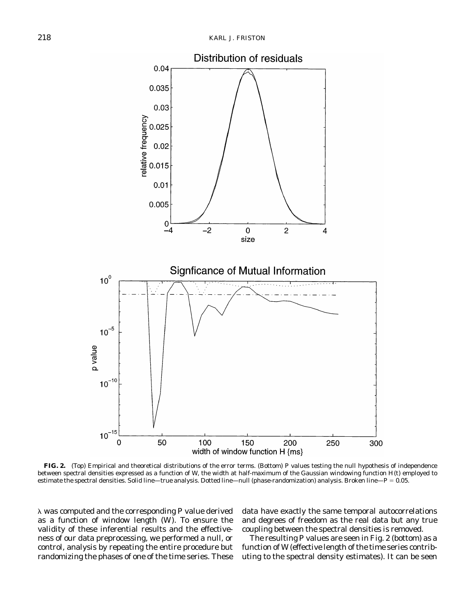

**FIG. 2.** (Top) Empirical and theoretical distributions of the error terms. (Bottom) *P* values testing the null hypothesis of independence between spectral densities expressed as a function of *W*, the width at half-maximum of the Gaussian windowing function *H*(*t*) employed to estimate the spectral densities. Solid line—true analysis. Dotted line—null (phase-randomization) analysis. Broken line—*P* = 0.05.

l was computed and the corresponding *P* value derived as a function of window length (*W*). To ensure the validity of these inferential results and the effectiveness of our data preprocessing, we performed a null, or control, analysis by repeating the entire procedure but randomizing the phases of one of the time series. These data have exactly the same temporal autocorrelations and degrees of freedom as the real data but any true coupling between the spectral densities is removed.

The resulting *P* values are seen in Fig. 2 (bottom) as a function of *W* (effective length of the time series contributing to the spectral density estimates). It can be seen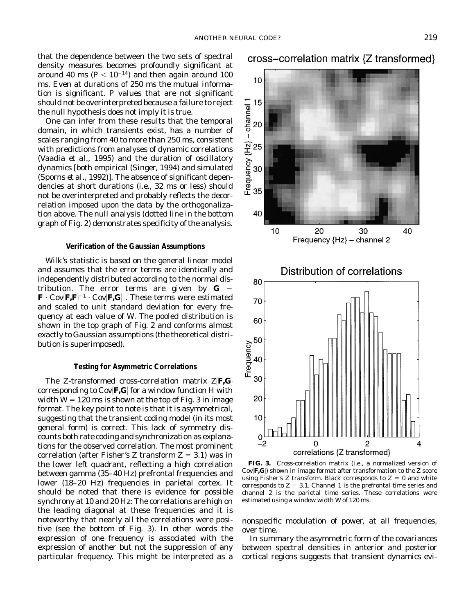that the dependence between the two sets of spectral density measures becomes profoundly significant at around 40 ms  $(P < 10^{-14})$  and then again around 100 ms. Even at durations of 250 ms the mutual information is significant. *P* values that are not significant should not be overinterpreted because a failure to reject the null hypothesis does not imply it is true.

One can infer from these results that the temporal domain, in which transients exist, has a number of scales ranging from 40 to more than 250 ms, consistent with predictions from analyses of dynamic correlations (Vaadia *et al.,* 1995) and the duration of oscillatory dynamics [both empirical (Singer, 1994) and simulated (Sporns *et al.,* 1992)]. The absence of significant dependencies at short durations (i.e., 32 ms or less) should not be overinterpreted and probably reflects the decorrelation imposed upon the data by the orthogonalization above. The null analysis (dotted line in the bottom graph of Fig. 2) demonstrates specificity of the analysis.

#### **Verification of the Gaussian Assumptions**

Wilk's statistic is based on the general linear model and assumes that the error terms are identically and independently distributed according to the normal distribution. The error terms are given by  $G \mathbf{F}\cdot\mathbf{C}\mathbf{ov}[\mathbf{F},\mathbf{F}]^{-1}\cdot\mathbf{C}\mathbf{ov}[\mathbf{F},\mathbf{G}]$  . These terms were estimated and scaled to unit standard deviation for every frequency at each value of *W*. The pooled distribution is shown in the top graph of Fig. 2 and conforms almost exactly to Gaussian assumptions (the theoretical distribution is superimposed).

#### **Testing for Asymmetric Correlations**

The *Z*-transformed cross-correlation matrix  $Z[F,G]$ corresponding to  $Cov$ **F,G** for a window function *H* with width  $W = 120$  ms is shown at the top of Fig. 3 in image format. The key point to note is that it is asymmetrical, suggesting that the transient coding model (in its most general form) is correct. This lack of symmetry discounts both rate coding and synchronization as explanations for the observed correlation. The most prominent correlation (after Fisher's *Z* transform  $Z = 3.1$ ) was in the lower left quadrant, reflecting a high correlation between gamma (35–40 Hz) prefrontal frequencies and lower (18–20 Hz) frequencies in parietal cortex. It should be noted that there is evidence for possible synchrony at 10 and 20 Hz: The correlations are high on the leading diagonal at these frequencies and it is noteworthy that nearly all the correlations were positive (see the bottom of Fig. 3). In other words the expression of one frequency is associated with the expression of another but not the suppression of any particular frequency. This might be interpreted as a

cross–correlation matrix {Z transformed}



**FIG. 3.** Cross-correlation matrix (i.e., a normalized version of  $Cov$ **[F,G**]) shown in image format after transformation to the  $Z$  score using Fisher's  $Z$  transform. Black corresponds to  $Z = 0$  and white corresponds to  $Z = 3.1$ . Channel 1 is the prefrontal time series and channel 2 is the parietal time series. These correlations were estimated using a window width *W* of 120 ms.

nonspecific modulation of power, at all frequencies, over time.

In summary the asymmetric form of the covariances between spectral densities in anterior and posterior cortical regions suggests that transient dynamics evi